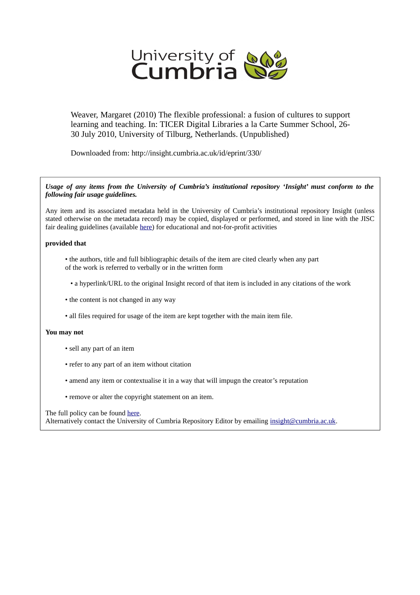

Weaver, Margaret (2010) The flexible professional: a fusion of cultures to support learning and teaching. In: TICER Digital Libraries a la Carte Summer School, 26- 30 July 2010, University of Tilburg, Netherlands. (Unpublished)

Downloaded from: http://insight.cumbria.ac.uk/id/eprint/330/

### *Usage of any items from the University of Cumbria's institutional repository 'Insight' must conform to the following fair usage guidelines.*

Any item and its associated metadata held in the University of Cumbria's institutional repository Insight (unless stated otherwise on the metadata record) may be copied, displayed or performed, and stored in line with the JISC fair dealing guidelines (available [here\)](http://www.ukoln.ac.uk/services/elib/papers/pa/fair/) for educational and not-for-profit activities

### **provided that**

- the authors, title and full bibliographic details of the item are cited clearly when any part of the work is referred to verbally or in the written form
	- a hyperlink/URL to the original Insight record of that item is included in any citations of the work
- the content is not changed in any way
- all files required for usage of the item are kept together with the main item file.

### **You may not**

- sell any part of an item
- refer to any part of an item without citation
- amend any item or contextualise it in a way that will impugn the creator's reputation
- remove or alter the copyright statement on an item.

### The full policy can be found [here.](http://insight.cumbria.ac.uk/legal.html#section5)

Alternatively contact the University of Cumbria Repository Editor by emailing [insight@cumbria.ac.uk.](mailto:insight@cumbria.ac.uk)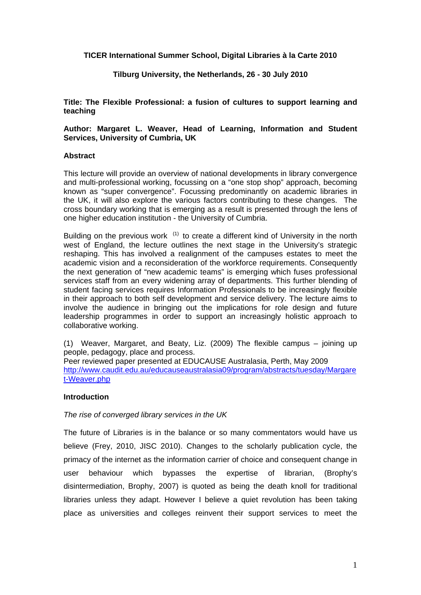# **TICER International Summer School, Digital Libraries à la Carte 2010**

# **Tilburg University, the Netherlands, 26 - 30 July 2010**

**Title: The Flexible Professional: a fusion of cultures to support learning and teaching** 

**Author: Margaret L. Weaver, Head of Learning, Information and Student Services, University of Cumbria, UK** 

## **Abstract**

This lecture will provide an overview of national developments in library convergence and multi-professional working, focussing on a "one stop shop" approach, becoming known as "super convergence". Focussing predominantly on academic libraries in the UK, it will also explore the various factors contributing to these changes. The cross boundary working that is emerging as a result is presented through the lens of one higher education institution - the University of Cumbria.

Building on the previous work  $(1)$  to create a different kind of University in the north west of England, the lecture outlines the next stage in the University's strategic reshaping. This has involved a realignment of the campuses estates to meet the academic vision and a reconsideration of the workforce requirements. Consequently the next generation of "new academic teams" is emerging which fuses professional services staff from an every widening array of departments. This further blending of student facing services requires Information Professionals to be increasingly flexible in their approach to both self development and service delivery. The lecture aims to involve the audience in bringing out the implications for role design and future leadership programmes in order to support an increasingly holistic approach to collaborative working.

(1) Weaver, Margaret, and Beaty, Liz. (2009) The flexible campus – joining up people, pedagogy, place and process.

Peer reviewed paper presented at EDUCAUSE Australasia, Perth, May 2009 http://www.caudit.edu.au/educauseaustralasia09/program/abstracts/tuesday/Margare t-Weaver.php

# **Introduction**

# *The rise of converged library services in the UK*

The future of Libraries is in the balance or so many commentators would have us believe (Frey, 2010, JISC 2010). Changes to the scholarly publication cycle, the primacy of the internet as the information carrier of choice and consequent change in user behaviour which bypasses the expertise of librarian, (Brophy's disintermediation, Brophy, 2007) is quoted as being the death knoll for traditional libraries unless they adapt. However I believe a quiet revolution has been taking place as universities and colleges reinvent their support services to meet the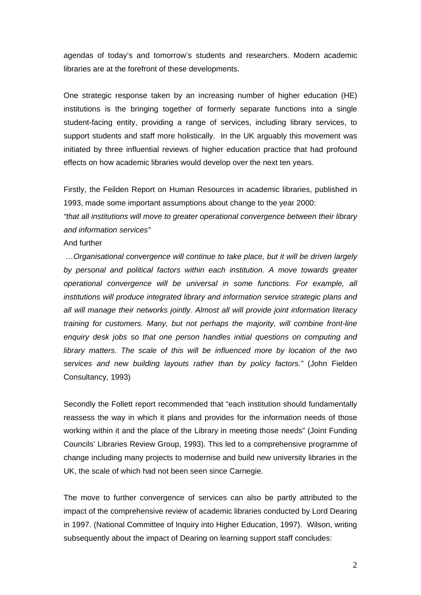agendas of today's and tomorrow's students and researchers. Modern academic libraries are at the forefront of these developments.

One strategic response taken by an increasing number of higher education (HE) institutions is the bringing together of formerly separate functions into a single student-facing entity, providing a range of services, including library services, to support students and staff more holistically. In the UK arguably this movement was initiated by three influential reviews of higher education practice that had profound effects on how academic libraries would develop over the next ten years.

Firstly, the Feilden Report on Human Resources in academic libraries, published in 1993, made some important assumptions about change to the year 2000:

*"that all institutions will move to greater operational convergence between their library and information services"* 

## And further

 *…Organisational convergence will continue to take place, but it will be driven largely by personal and political factors within each institution. A move towards greater operational convergence will be universal in some functions. For example, all institutions will produce integrated library and information service strategic plans and all will manage their networks jointly. Almost all will provide joint information literacy training for customers. Many, but not perhaps the majority, will combine front-line enquiry desk jobs so that one person handles initial questions on computing and library matters. The scale of this will be influenced more by location of the two services and new building layouts rather than by policy factors."* (John Fielden Consultancy, 1993)

Secondly the Follett report recommended that "each institution should fundamentally reassess the way in which it plans and provides for the information needs of those working within it and the place of the Library in meeting those needs" (Joint Funding Councils' Libraries Review Group, 1993). This led to a comprehensive programme of change including many projects to modernise and build new university libraries in the UK, the scale of which had not been seen since Carnegie.

The move to further convergence of services can also be partly attributed to the impact of the comprehensive review of academic libraries conducted by Lord Dearing in 1997. (National Committee of Inquiry into Higher Education, 1997). Wilson, writing subsequently about the impact of Dearing on learning support staff concludes: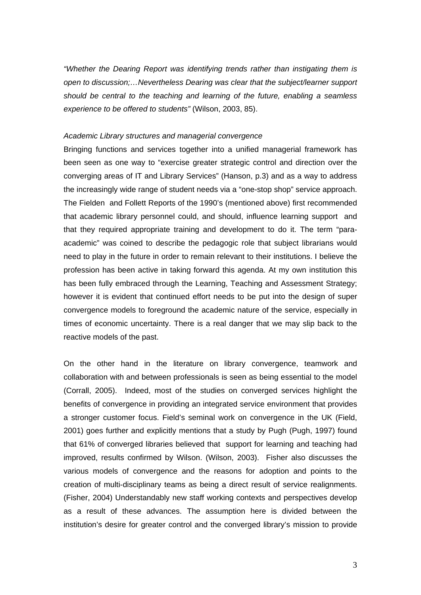*"Whether the Dearing Report was identifying trends rather than instigating them is open to discussion;…Nevertheless Dearing was clear that the subject/learner support should be central to the teaching and learning of the future, enabling a seamless experience to be offered to students"* (Wilson, 2003, 85).

## *Academic Library structures and managerial convergence*

Bringing functions and services together into a unified managerial framework has been seen as one way to "exercise greater strategic control and direction over the converging areas of IT and Library Services" (Hanson, p.3) and as a way to address the increasingly wide range of student needs via a "one-stop shop" service approach. The Fielden and Follett Reports of the 1990's (mentioned above) first recommended that academic library personnel could, and should, influence learning support and that they required appropriate training and development to do it. The term "paraacademic" was coined to describe the pedagogic role that subject librarians would need to play in the future in order to remain relevant to their institutions. I believe the profession has been active in taking forward this agenda. At my own institution this has been fully embraced through the Learning, Teaching and Assessment Strategy; however it is evident that continued effort needs to be put into the design of super convergence models to foreground the academic nature of the service, especially in times of economic uncertainty. There is a real danger that we may slip back to the reactive models of the past.

On the other hand in the literature on library convergence, teamwork and collaboration with and between professionals is seen as being essential to the model (Corrall, 2005). Indeed, most of the studies on converged services highlight the benefits of convergence in providing an integrated service environment that provides a stronger customer focus. Field's seminal work on convergence in the UK (Field, 2001) goes further and explicitly mentions that a study by Pugh (Pugh, 1997) found that 61% of converged libraries believed that support for learning and teaching had improved, results confirmed by Wilson. (Wilson, 2003). Fisher also discusses the various models of convergence and the reasons for adoption and points to the creation of multi-disciplinary teams as being a direct result of service realignments. (Fisher, 2004) Understandably new staff working contexts and perspectives develop as a result of these advances. The assumption here is divided between the institution's desire for greater control and the converged library's mission to provide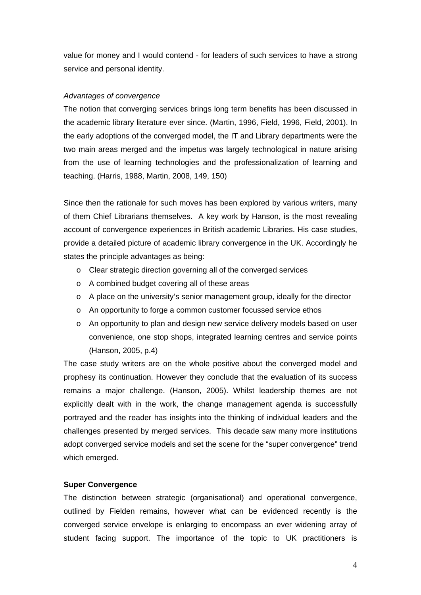value for money and I would contend - for leaders of such services to have a strong service and personal identity.

# *Advantages of convergence*

The notion that converging services brings long term benefits has been discussed in the academic library literature ever since. (Martin, 1996, Field, 1996, Field, 2001). In the early adoptions of the converged model, the IT and Library departments were the two main areas merged and the impetus was largely technological in nature arising from the use of learning technologies and the professionalization of learning and teaching. (Harris, 1988, Martin, 2008, 149, 150)

Since then the rationale for such moves has been explored by various writers, many of them Chief Librarians themselves. A key work by Hanson, is the most revealing account of convergence experiences in British academic Libraries. His case studies, provide a detailed picture of academic library convergence in the UK. Accordingly he states the principle advantages as being:

- o Clear strategic direction governing all of the converged services
- o A combined budget covering all of these areas
- o A place on the university's senior management group, ideally for the director
- o An opportunity to forge a common customer focussed service ethos
- o An opportunity to plan and design new service delivery models based on user convenience, one stop shops, integrated learning centres and service points (Hanson, 2005, p.4)

The case study writers are on the whole positive about the converged model and prophesy its continuation. However they conclude that the evaluation of its success remains a major challenge. (Hanson, 2005). Whilst leadership themes are not explicitly dealt with in the work, the change management agenda is successfully portrayed and the reader has insights into the thinking of individual leaders and the challenges presented by merged services. This decade saw many more institutions adopt converged service models and set the scene for the "super convergence" trend which emerged.

# **Super Convergence**

The distinction between strategic (organisational) and operational convergence, outlined by Fielden remains, however what can be evidenced recently is the converged service envelope is enlarging to encompass an ever widening array of student facing support. The importance of the topic to UK practitioners is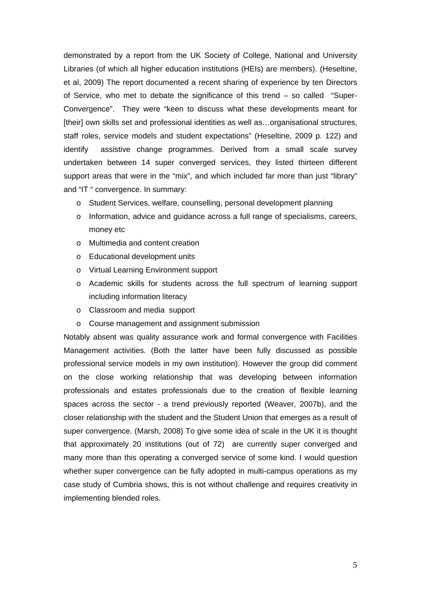demonstrated by a report from the UK Society of College, National and University Libraries (of which all higher education institutions (HEIs) are members). (Heseltine, et al, 2009) The report documented a recent sharing of experience by ten Directors of Service, who met to debate the significance of this trend – so called "Super-Convergence". They were "keen to discuss what these developments meant for [their] own skills set and professional identities as well as...organisational structures, staff roles, service models and student expectations" (Heseltine, 2009 p. 122) and identify assistive change programmes. Derived from a small scale survey undertaken between 14 super converged services, they listed thirteen different support areas that were in the "mix", and which included far more than just "library" and "IT " convergence. In summary:

- o Student Services, welfare, counselling, personal development planning
- o Information, advice and guidance across a full range of specialisms, careers, money etc
- o Multimedia and content creation
- o Educational development units
- o Virtual Learning Environment support
- o Academic skills for students across the full spectrum of learning support including information literacy
- o Classroom and media support
- o Course management and assignment submission

Notably absent was quality assurance work and formal convergence with Facilities Management activities. (Both the latter have been fully discussed as possible professional service models in my own institution). However the group did comment on the close working relationship that was developing between information professionals and estates professionals due to the creation of flexible learning spaces across the sector - a trend previously reported (Weaver, 2007b), and the closer relationship with the student and the Student Union that emerges as a result of super convergence. (Marsh, 2008) To give some idea of scale in the UK it is thought that approximately 20 institutions (out of 72) are currently super converged and many more than this operating a converged service of some kind. I would question whether super convergence can be fully adopted in multi-campus operations as my case study of Cumbria shows, this is not without challenge and requires creativity in implementing blended roles.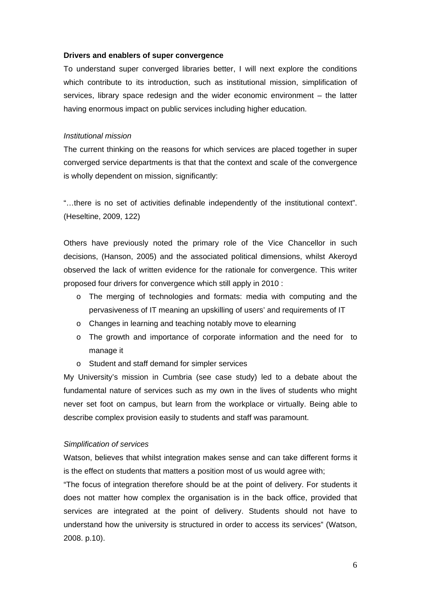## **Drivers and enablers of super convergence**

To understand super converged libraries better, I will next explore the conditions which contribute to its introduction, such as institutional mission, simplification of services, library space redesign and the wider economic environment – the latter having enormous impact on public services including higher education.

# *Institutional mission*

The current thinking on the reasons for which services are placed together in super converged service departments is that that the context and scale of the convergence is wholly dependent on mission, significantly:

"…there is no set of activities definable independently of the institutional context". (Heseltine, 2009, 122)

Others have previously noted the primary role of the Vice Chancellor in such decisions, (Hanson, 2005) and the associated political dimensions, whilst Akeroyd observed the lack of written evidence for the rationale for convergence. This writer proposed four drivers for convergence which still apply in 2010 :

- o The merging of technologies and formats: media with computing and the pervasiveness of IT meaning an upskilling of users' and requirements of IT
- o Changes in learning and teaching notably move to elearning
- o The growth and importance of corporate information and the need for to manage it
- o Student and staff demand for simpler services

My University's mission in Cumbria (see case study) led to a debate about the fundamental nature of services such as my own in the lives of students who might never set foot on campus, but learn from the workplace or virtually. Being able to describe complex provision easily to students and staff was paramount.

# *Simplification of services*

Watson, believes that whilst integration makes sense and can take different forms it is the effect on students that matters a position most of us would agree with;

"The focus of integration therefore should be at the point of delivery. For students it does not matter how complex the organisation is in the back office, provided that services are integrated at the point of delivery. Students should not have to understand how the university is structured in order to access its services" (Watson, 2008. p.10).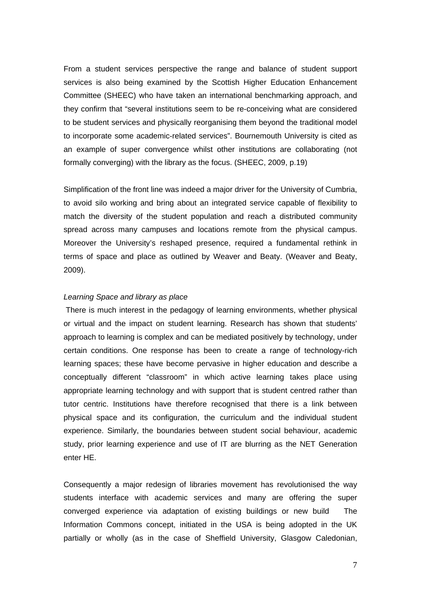From a student services perspective the range and balance of student support services is also being examined by the Scottish Higher Education Enhancement Committee (SHEEC) who have taken an international benchmarking approach, and they confirm that "several institutions seem to be re-conceiving what are considered to be student services and physically reorganising them beyond the traditional model to incorporate some academic-related services". Bournemouth University is cited as an example of super convergence whilst other institutions are collaborating (not formally converging) with the library as the focus. (SHEEC, 2009, p.19)

Simplification of the front line was indeed a major driver for the University of Cumbria, to avoid silo working and bring about an integrated service capable of flexibility to match the diversity of the student population and reach a distributed community spread across many campuses and locations remote from the physical campus. Moreover the University's reshaped presence, required a fundamental rethink in terms of space and place as outlined by Weaver and Beaty. (Weaver and Beaty, 2009).

## *Learning Space and library as place*

 There is much interest in the pedagogy of learning environments, whether physical or virtual and the impact on student learning. Research has shown that students' approach to learning is complex and can be mediated positively by technology, under certain conditions. One response has been to create a range of technology-rich learning spaces; these have become pervasive in higher education and describe a conceptually different "classroom" in which active learning takes place using appropriate learning technology and with support that is student centred rather than tutor centric. Institutions have therefore recognised that there is a link between physical space and its configuration, the curriculum and the individual student experience. Similarly, the boundaries between student social behaviour, academic study, prior learning experience and use of IT are blurring as the NET Generation enter HE.

Consequently a major redesign of libraries movement has revolutionised the way students interface with academic services and many are offering the super converged experience via adaptation of existing buildings or new build The Information Commons concept, initiated in the USA is being adopted in the UK partially or wholly (as in the case of Sheffield University, Glasgow Caledonian,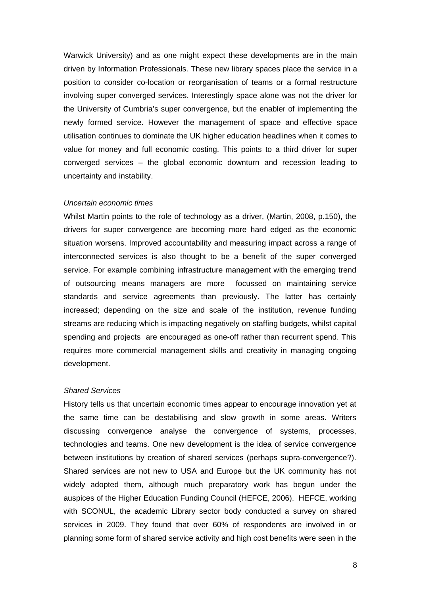Warwick University) and as one might expect these developments are in the main driven by Information Professionals. These new library spaces place the service in a position to consider co-location or reorganisation of teams or a formal restructure involving super converged services. Interestingly space alone was not the driver for the University of Cumbria's super convergence, but the enabler of implementing the newly formed service. However the management of space and effective space utilisation continues to dominate the UK higher education headlines when it comes to value for money and full economic costing. This points to a third driver for super converged services – the global economic downturn and recession leading to uncertainty and instability.

#### *Uncertain economic times*

Whilst Martin points to the role of technology as a driver, (Martin, 2008, p.150), the drivers for super convergence are becoming more hard edged as the economic situation worsens. Improved accountability and measuring impact across a range of interconnected services is also thought to be a benefit of the super converged service. For example combining infrastructure management with the emerging trend of outsourcing means managers are more focussed on maintaining service standards and service agreements than previously. The latter has certainly increased; depending on the size and scale of the institution, revenue funding streams are reducing which is impacting negatively on staffing budgets, whilst capital spending and projects are encouraged as one-off rather than recurrent spend. This requires more commercial management skills and creativity in managing ongoing development.

## *Shared Services*

History tells us that uncertain economic times appear to encourage innovation yet at the same time can be destabilising and slow growth in some areas. Writers discussing convergence analyse the convergence of systems, processes, technologies and teams. One new development is the idea of service convergence between institutions by creation of shared services (perhaps supra-convergence?). Shared services are not new to USA and Europe but the UK community has not widely adopted them, although much preparatory work has begun under the auspices of the Higher Education Funding Council (HEFCE, 2006). HEFCE, working with SCONUL, the academic Library sector body conducted a survey on shared services in 2009. They found that over 60% of respondents are involved in or planning some form of shared service activity and high cost benefits were seen in the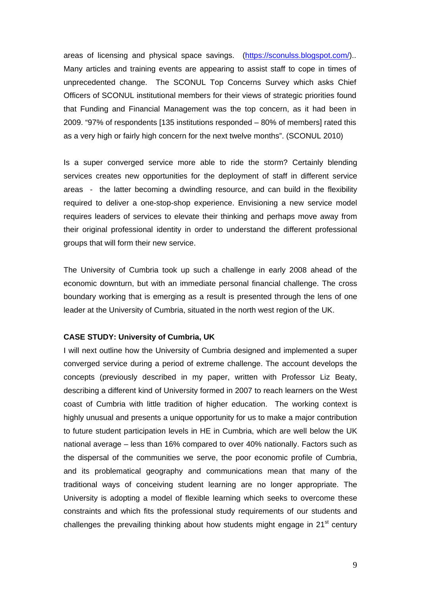areas of licensing and physical space savings. (https://sconulss.blogspot.com/).. Many articles and training events are appearing to assist staff to cope in times of unprecedented change. The SCONUL Top Concerns Survey which asks Chief Officers of SCONUL institutional members for their views of strategic priorities found that Funding and Financial Management was the top concern, as it had been in 2009. "97% of respondents [135 institutions responded – 80% of members] rated this as a very high or fairly high concern for the next twelve months". (SCONUL 2010)

Is a super converged service more able to ride the storm? Certainly blending services creates new opportunities for the deployment of staff in different service areas - the latter becoming a dwindling resource, and can build in the flexibility required to deliver a one-stop-shop experience. Envisioning a new service model requires leaders of services to elevate their thinking and perhaps move away from their original professional identity in order to understand the different professional groups that will form their new service.

The University of Cumbria took up such a challenge in early 2008 ahead of the economic downturn, but with an immediate personal financial challenge. The cross boundary working that is emerging as a result is presented through the lens of one leader at the University of Cumbria, situated in the north west region of the UK.

## **CASE STUDY: University of Cumbria, UK**

I will next outline how the University of Cumbria designed and implemented a super converged service during a period of extreme challenge. The account develops the concepts (previously described in my paper, written with Professor Liz Beaty, describing a different kind of University formed in 2007 to reach learners on the West coast of Cumbria with little tradition of higher education. The working context is highly unusual and presents a unique opportunity for us to make a major contribution to future student participation levels in HE in Cumbria, which are well below the UK national average – less than 16% compared to over 40% nationally. Factors such as the dispersal of the communities we serve, the poor economic profile of Cumbria, and its problematical geography and communications mean that many of the traditional ways of conceiving student learning are no longer appropriate. The University is adopting a model of flexible learning which seeks to overcome these constraints and which fits the professional study requirements of our students and challenges the prevailing thinking about how students might engage in  $21<sup>st</sup>$  century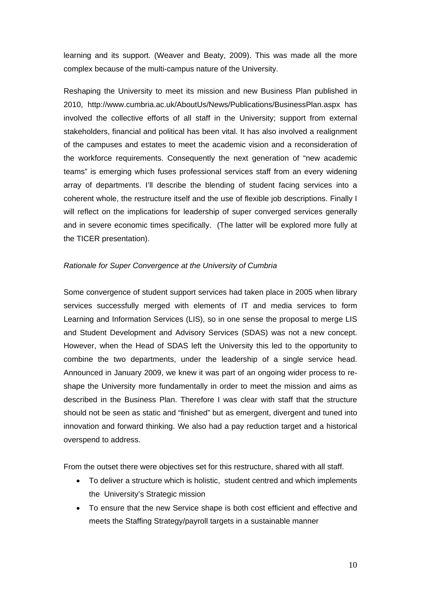learning and its support. (Weaver and Beaty, 2009). This was made all the more complex because of the multi-campus nature of the University.

Reshaping the University to meet its mission and new Business Plan published in 2010, http://www.cumbria.ac.uk/AboutUs/News/Publications/BusinessPlan.aspx has involved the collective efforts of all staff in the University; support from external stakeholders, financial and political has been vital. It has also involved a realignment of the campuses and estates to meet the academic vision and a reconsideration of the workforce requirements. Consequently the next generation of "new academic teams" is emerging which fuses professional services staff from an every widening array of departments. I'll describe the blending of student facing services into a coherent whole, the restructure itself and the use of flexible job descriptions. Finally I will reflect on the implications for leadership of super converged services generally and in severe economic times specifically. (The latter will be explored more fully at the TICER presentation).

# *Rationale for Super Convergence at the University of Cumbria*

Some convergence of student support services had taken place in 2005 when library services successfully merged with elements of IT and media services to form Learning and Information Services (LIS), so in one sense the proposal to merge LIS and Student Development and Advisory Services (SDAS) was not a new concept. However, when the Head of SDAS left the University this led to the opportunity to combine the two departments, under the leadership of a single service head. Announced in January 2009, we knew it was part of an ongoing wider process to reshape the University more fundamentally in order to meet the mission and aims as described in the Business Plan. Therefore I was clear with staff that the structure should not be seen as static and "finished" but as emergent, divergent and tuned into innovation and forward thinking. We also had a pay reduction target and a historical overspend to address.

From the outset there were objectives set for this restructure, shared with all staff.

- To deliver a structure which is holistic, student centred and which implements the University's Strategic mission
- To ensure that the new Service shape is both cost efficient and effective and meets the Staffing Strategy/payroll targets in a sustainable manner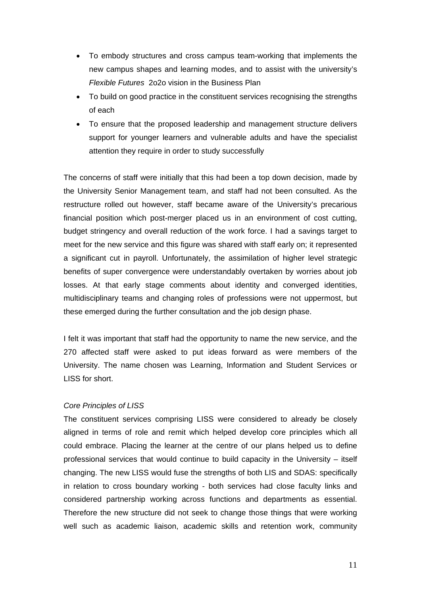- To embody structures and cross campus team-working that implements the new campus shapes and learning modes, and to assist with the university's *Flexible Futures* 2o2o vision in the Business Plan
- To build on good practice in the constituent services recognising the strengths of each
- To ensure that the proposed leadership and management structure delivers support for younger learners and vulnerable adults and have the specialist attention they require in order to study successfully

The concerns of staff were initially that this had been a top down decision, made by the University Senior Management team, and staff had not been consulted. As the restructure rolled out however, staff became aware of the University's precarious financial position which post-merger placed us in an environment of cost cutting, budget stringency and overall reduction of the work force. I had a savings target to meet for the new service and this figure was shared with staff early on; it represented a significant cut in payroll. Unfortunately, the assimilation of higher level strategic benefits of super convergence were understandably overtaken by worries about job losses. At that early stage comments about identity and converged identities, multidisciplinary teams and changing roles of professions were not uppermost, but these emerged during the further consultation and the job design phase.

I felt it was important that staff had the opportunity to name the new service, and the 270 affected staff were asked to put ideas forward as were members of the University. The name chosen was Learning, Information and Student Services or LISS for short.

# *Core Principles of LISS*

The constituent services comprising LISS were considered to already be closely aligned in terms of role and remit which helped develop core principles which all could embrace. Placing the learner at the centre of our plans helped us to define professional services that would continue to build capacity in the University – itself changing. The new LISS would fuse the strengths of both LIS and SDAS: specifically in relation to cross boundary working - both services had close faculty links and considered partnership working across functions and departments as essential. Therefore the new structure did not seek to change those things that were working well such as academic liaison, academic skills and retention work, community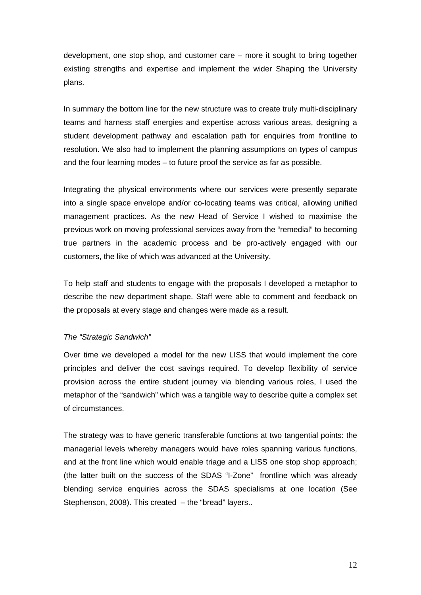development, one stop shop, and customer care – more it sought to bring together existing strengths and expertise and implement the wider Shaping the University plans.

In summary the bottom line for the new structure was to create truly multi-disciplinary teams and harness staff energies and expertise across various areas, designing a student development pathway and escalation path for enquiries from frontline to resolution. We also had to implement the planning assumptions on types of campus and the four learning modes – to future proof the service as far as possible.

Integrating the physical environments where our services were presently separate into a single space envelope and/or co-locating teams was critical, allowing unified management practices. As the new Head of Service I wished to maximise the previous work on moving professional services away from the "remedial" to becoming true partners in the academic process and be pro-actively engaged with our customers, the like of which was advanced at the University.

To help staff and students to engage with the proposals I developed a metaphor to describe the new department shape. Staff were able to comment and feedback on the proposals at every stage and changes were made as a result.

# *The "Strategic Sandwich"*

Over time we developed a model for the new LISS that would implement the core principles and deliver the cost savings required. To develop flexibility of service provision across the entire student journey via blending various roles, I used the metaphor of the "sandwich" which was a tangible way to describe quite a complex set of circumstances.

The strategy was to have generic transferable functions at two tangential points: the managerial levels whereby managers would have roles spanning various functions, and at the front line which would enable triage and a LISS one stop shop approach; (the latter built on the success of the SDAS "I-Zone" frontline which was already blending service enquiries across the SDAS specialisms at one location (See Stephenson, 2008). This created – the "bread" layers..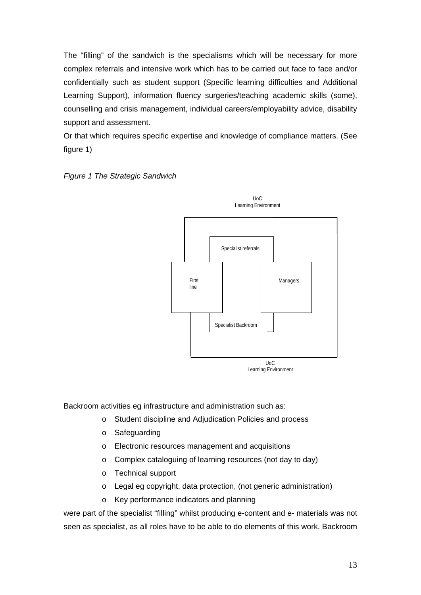The "filling" of the sandwich is the specialisms which will be necessary for more complex referrals and intensive work which has to be carried out face to face and/or confidentially such as student support (Specific learning difficulties and Additional Learning Support), information fluency surgeries/teaching academic skills (some), counselling and crisis management, individual careers/employability advice, disability support and assessment.

Or that which requires specific expertise and knowledge of compliance matters. (See figure 1)





Backroom activities eg infrastructure and administration such as:

- o Student discipline and Adjudication Policies and process
- o Safeguarding
- o Electronic resources management and acquisitions
- o Complex cataloguing of learning resources (not day to day)
- o Technical support
- o Legal eg copyright, data protection, (not generic administration)
- o Key performance indicators and planning

were part of the specialist "filling" whilst producing e-content and e- materials was not seen as specialist, as all roles have to be able to do elements of this work. Backroom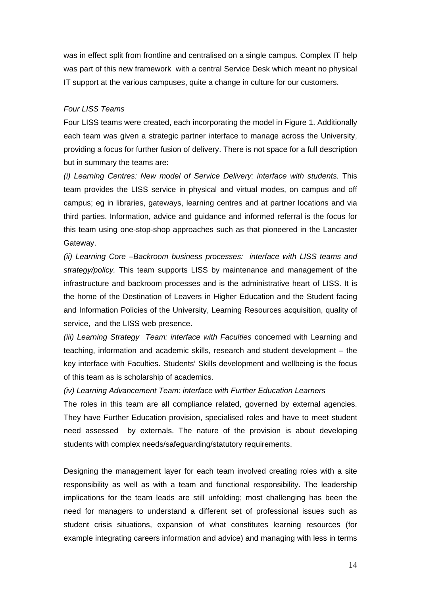was in effect split from frontline and centralised on a single campus. Complex IT help was part of this new framework with a central Service Desk which meant no physical IT support at the various campuses, quite a change in culture for our customers.

## *Four LISS Teams*

Four LISS teams were created, each incorporating the model in Figure 1. Additionally each team was given a strategic partner interface to manage across the University, providing a focus for further fusion of delivery. There is not space for a full description but in summary the teams are:

*(i) Learning Centres: New model of Service Delivery: interface with students.* This team provides the LISS service in physical and virtual modes, on campus and off campus; eg in libraries, gateways, learning centres and at partner locations and via third parties. Information, advice and guidance and informed referral is the focus for this team using one-stop-shop approaches such as that pioneered in the Lancaster Gateway.

*(ii) Learning Core –Backroom business processes: interface with LISS teams and strategy/policy.* This team supports LISS by maintenance and management of the infrastructure and backroom processes and is the administrative heart of LISS. It is the home of the Destination of Leavers in Higher Education and the Student facing and Information Policies of the University, Learning Resources acquisition, quality of service, and the LISS web presence.

*(iii) Learning Strategy Team: interface with Faculties* concerned with Learning and teaching, information and academic skills, research and student development – the key interface with Faculties. Students' Skills development and wellbeing is the focus of this team as is scholarship of academics.

*(iv) Learning Advancement Team: interface with Further Education Learners* 

The roles in this team are all compliance related, governed by external agencies. They have Further Education provision, specialised roles and have to meet student need assessed by externals. The nature of the provision is about developing students with complex needs/safeguarding/statutory requirements.

Designing the management layer for each team involved creating roles with a site responsibility as well as with a team and functional responsibility. The leadership implications for the team leads are still unfolding; most challenging has been the need for managers to understand a different set of professional issues such as student crisis situations, expansion of what constitutes learning resources (for example integrating careers information and advice) and managing with less in terms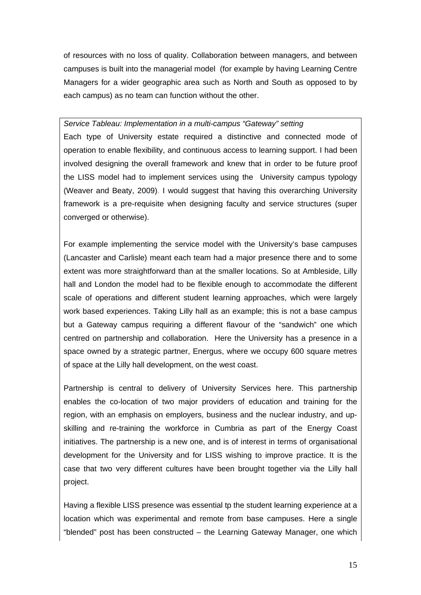of resources with no loss of quality. Collaboration between managers, and between campuses is built into the managerial model (for example by having Learning Centre Managers for a wider geographic area such as North and South as opposed to by each campus) as no team can function without the other.

# *Service Tableau: Implementation in a multi-campus "Gateway" setting*

Each type of University estate required a distinctive and connected mode of operation to enable flexibility, and continuous access to learning support. I had been involved designing the overall framework and knew that in order to be future proof the LISS model had to implement services using the University campus typology (Weaver and Beaty, 2009). I would suggest that having this overarching University framework is a pre-requisite when designing faculty and service structures (super converged or otherwise).

For example implementing the service model with the University's base campuses (Lancaster and Carlisle) meant each team had a major presence there and to some extent was more straightforward than at the smaller locations. So at Ambleside, Lilly hall and London the model had to be flexible enough to accommodate the different scale of operations and different student learning approaches, which were largely work based experiences. Taking Lilly hall as an example; this is not a base campus but a Gateway campus requiring a different flavour of the "sandwich" one which centred on partnership and collaboration. Here the University has a presence in a space owned by a strategic partner, Energus, where we occupy 600 square metres of space at the Lilly hall development, on the west coast.

Partnership is central to delivery of University Services here. This partnership enables the co-location of two major providers of education and training for the region, with an emphasis on employers, business and the nuclear industry, and upskilling and re-training the workforce in Cumbria as part of the Energy Coast initiatives. The partnership is a new one, and is of interest in terms of organisational development for the University and for LISS wishing to improve practice. It is the case that two very different cultures have been brought together via the Lilly hall project.

Having a flexible LISS presence was essential tp the student learning experience at a location which was experimental and remote from base campuses. Here a single "blended" post has been constructed – the Learning Gateway Manager, one which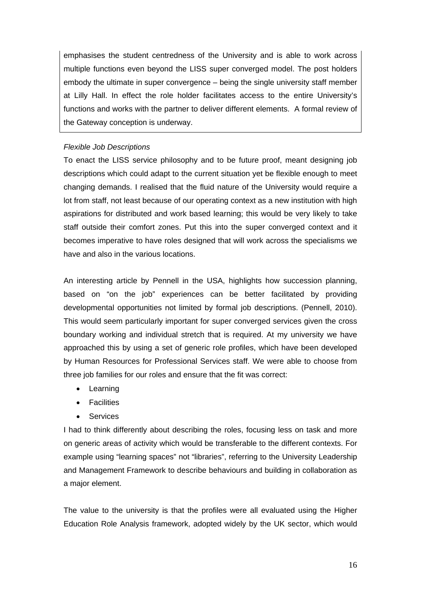emphasises the student centredness of the University and is able to work across multiple functions even beyond the LISS super converged model. The post holders embody the ultimate in super convergence – being the single university staff member at Lilly Hall. In effect the role holder facilitates access to the entire University's functions and works with the partner to deliver different elements. A formal review of the Gateway conception is underway.

# *Flexible Job Descriptions*

To enact the LISS service philosophy and to be future proof, meant designing job descriptions which could adapt to the current situation yet be flexible enough to meet changing demands. I realised that the fluid nature of the University would require a lot from staff, not least because of our operating context as a new institution with high aspirations for distributed and work based learning; this would be very likely to take staff outside their comfort zones. Put this into the super converged context and it becomes imperative to have roles designed that will work across the specialisms we have and also in the various locations.

An interesting article by Pennell in the USA, highlights how succession planning, based on "on the job" experiences can be better facilitated by providing developmental opportunities not limited by formal job descriptions. (Pennell, 2010). This would seem particularly important for super converged services given the cross boundary working and individual stretch that is required. At my university we have approached this by using a set of generic role profiles, which have been developed by Human Resources for Professional Services staff. We were able to choose from three job families for our roles and ensure that the fit was correct:

- Learning
- Facilities
- Services

I had to think differently about describing the roles, focusing less on task and more on generic areas of activity which would be transferable to the different contexts. For example using "learning spaces" not "libraries", referring to the University Leadership and Management Framework to describe behaviours and building in collaboration as a major element.

The value to the university is that the profiles were all evaluated using the Higher Education Role Analysis framework, adopted widely by the UK sector, which would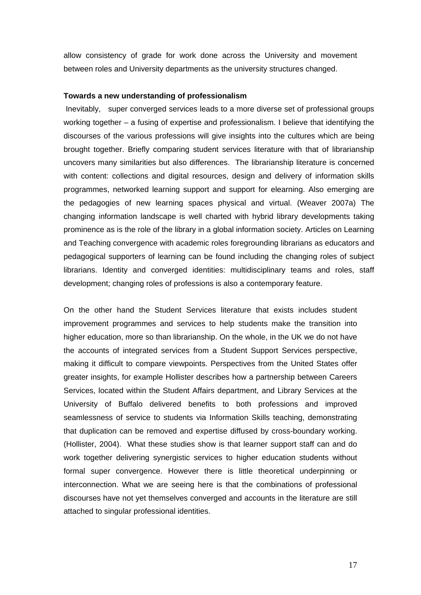allow consistency of grade for work done across the University and movement between roles and University departments as the university structures changed.

## **Towards a new understanding of professionalism**

 Inevitably, super converged services leads to a more diverse set of professional groups working together – a fusing of expertise and professionalism. I believe that identifying the discourses of the various professions will give insights into the cultures which are being brought together. Briefly comparing student services literature with that of librarianship uncovers many similarities but also differences. The librarianship literature is concerned with content: collections and digital resources, design and delivery of information skills programmes, networked learning support and support for elearning. Also emerging are the pedagogies of new learning spaces physical and virtual. (Weaver 2007a) The changing information landscape is well charted with hybrid library developments taking prominence as is the role of the library in a global information society. Articles on Learning and Teaching convergence with academic roles foregrounding librarians as educators and pedagogical supporters of learning can be found including the changing roles of subject librarians. Identity and converged identities: multidisciplinary teams and roles, staff development; changing roles of professions is also a contemporary feature.

On the other hand the Student Services literature that exists includes student improvement programmes and services to help students make the transition into higher education, more so than librarianship. On the whole, in the UK we do not have the accounts of integrated services from a Student Support Services perspective, making it difficult to compare viewpoints. Perspectives from the United States offer greater insights, for example Hollister describes how a partnership between Careers Services, located within the Student Affairs department, and Library Services at the University of Buffalo delivered benefits to both professions and improved seamlessness of service to students via Information Skills teaching, demonstrating that duplication can be removed and expertise diffused by cross-boundary working. (Hollister, 2004). What these studies show is that learner support staff can and do work together delivering synergistic services to higher education students without formal super convergence. However there is little theoretical underpinning or interconnection. What we are seeing here is that the combinations of professional discourses have not yet themselves converged and accounts in the literature are still attached to singular professional identities.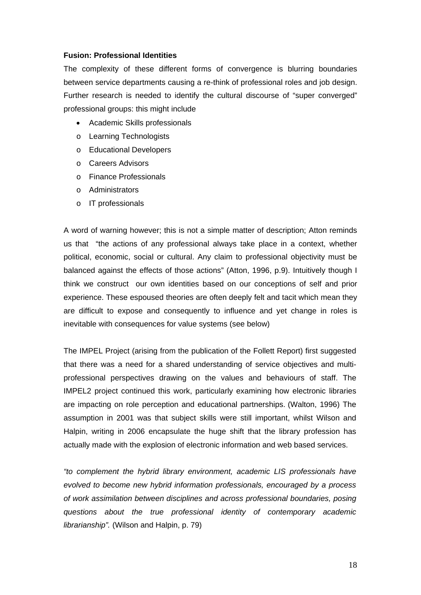## **Fusion: Professional Identities**

The complexity of these different forms of convergence is blurring boundaries between service departments causing a re-think of professional roles and job design. Further research is needed to identify the cultural discourse of "super converged" professional groups: this might include

- Academic Skills professionals
- o Learning Technologists
- o Educational Developers
- o Careers Advisors
- o Finance Professionals
- o Administrators
- o IT professionals

A word of warning however; this is not a simple matter of description; Atton reminds us that "the actions of any professional always take place in a context, whether political, economic, social or cultural. Any claim to professional objectivity must be balanced against the effects of those actions" (Atton, 1996, p.9). Intuitively though I think we construct our own identities based on our conceptions of self and prior experience. These espoused theories are often deeply felt and tacit which mean they are difficult to expose and consequently to influence and yet change in roles is inevitable with consequences for value systems (see below)

The IMPEL Project (arising from the publication of the Follett Report) first suggested that there was a need for a shared understanding of service objectives and multiprofessional perspectives drawing on the values and behaviours of staff. The IMPEL2 project continued this work, particularly examining how electronic libraries are impacting on role perception and educational partnerships. (Walton, 1996) The assumption in 2001 was that subject skills were still important, whilst Wilson and Halpin, writing in 2006 encapsulate the huge shift that the library profession has actually made with the explosion of electronic information and web based services.

*"to complement the hybrid library environment, academic LIS professionals have evolved to become new hybrid information professionals, encouraged by a process of work assimilation between disciplines and across professional boundaries, posing questions about the true professional identity of contemporary academic librarianship".* (Wilson and Halpin, p. 79)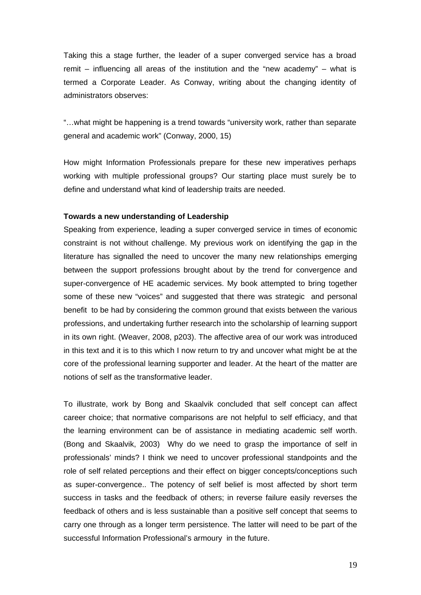Taking this a stage further, the leader of a super converged service has a broad remit – influencing all areas of the institution and the "new academy" – what is termed a Corporate Leader. As Conway, writing about the changing identity of administrators observes:

"…what might be happening is a trend towards "university work, rather than separate general and academic work" (Conway, 2000, 15)

How might Information Professionals prepare for these new imperatives perhaps working with multiple professional groups? Our starting place must surely be to define and understand what kind of leadership traits are needed.

### **Towards a new understanding of Leadership**

Speaking from experience, leading a super converged service in times of economic constraint is not without challenge. My previous work on identifying the gap in the literature has signalled the need to uncover the many new relationships emerging between the support professions brought about by the trend for convergence and super-convergence of HE academic services. My book attempted to bring together some of these new "voices" and suggested that there was strategic and personal benefit to be had by considering the common ground that exists between the various professions, and undertaking further research into the scholarship of learning support in its own right. (Weaver, 2008, p203). The affective area of our work was introduced in this text and it is to this which I now return to try and uncover what might be at the core of the professional learning supporter and leader. At the heart of the matter are notions of self as the transformative leader.

To illustrate, work by Bong and Skaalvik concluded that self concept can affect career choice; that normative comparisons are not helpful to self efficiacy, and that the learning environment can be of assistance in mediating academic self worth. (Bong and Skaalvik, 2003) Why do we need to grasp the importance of self in professionals' minds? I think we need to uncover professional standpoints and the role of self related perceptions and their effect on bigger concepts/conceptions such as super-convergence.. The potency of self belief is most affected by short term success in tasks and the feedback of others; in reverse failure easily reverses the feedback of others and is less sustainable than a positive self concept that seems to carry one through as a longer term persistence. The latter will need to be part of the successful Information Professional's armoury in the future.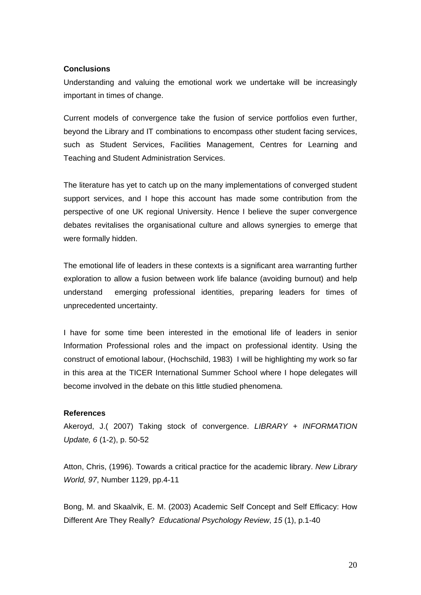# **Conclusions**

Understanding and valuing the emotional work we undertake will be increasingly important in times of change.

Current models of convergence take the fusion of service portfolios even further, beyond the Library and IT combinations to encompass other student facing services, such as Student Services, Facilities Management, Centres for Learning and Teaching and Student Administration Services.

The literature has yet to catch up on the many implementations of converged student support services, and I hope this account has made some contribution from the perspective of one UK regional University. Hence I believe the super convergence debates revitalises the organisational culture and allows synergies to emerge that were formally hidden.

The emotional life of leaders in these contexts is a significant area warranting further exploration to allow a fusion between work life balance (avoiding burnout) and help understand emerging professional identities, preparing leaders for times of unprecedented uncertainty.

I have for some time been interested in the emotional life of leaders in senior Information Professional roles and the impact on professional identity. Using the construct of emotional labour, (Hochschild, 1983) I will be highlighting my work so far in this area at the TICER International Summer School where I hope delegates will become involved in the debate on this little studied phenomena.

# **References**

Akeroyd, J.( 2007) Taking stock of convergence. *LIBRARY + INFORMATION Update, 6* (1-2), p. 50-52

Atton, Chris, (1996). Towards a critical practice for the academic library. *New Library World, 97*, Number 1129, pp.4-11

Bong, M. and Skaalvik, E. M. (2003) Academic Self Concept and Self Efficacy: How Different Are They Really? *Educational Psychology Review*, *15* (1), p.1-40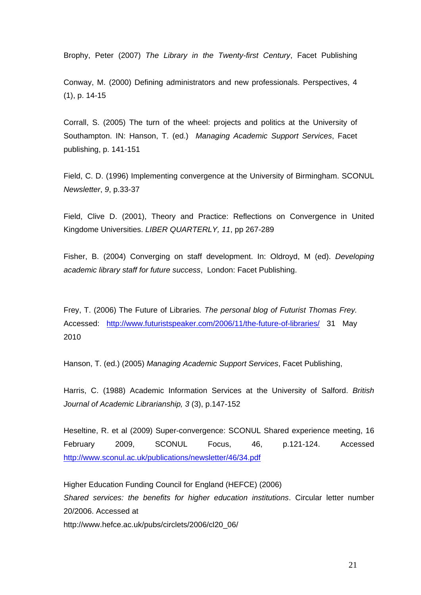Brophy, Peter (2007) *The Library in the Twenty-first Century*, Facet Publishing

Conway, M. (2000) Defining administrators and new professionals. Perspectives, 4 (1), p. 14-15

Corrall, S. (2005) The turn of the wheel: projects and politics at the University of Southampton. IN: Hanson, T. (ed.) *Managing Academic Support Services*, Facet publishing, p. 141-151

Field, C. D. (1996) Implementing convergence at the University of Birmingham. SCONUL *Newsletter*, *9*, p.33-37

Field, Clive D. (2001), Theory and Practice: Reflections on Convergence in United Kingdome Universities. *LIBER QUARTERLY, 11*, pp 267-289

Fisher, B. (2004) Converging on staff development. In: Oldroyd, M (ed). *Developing academic library staff for future success*, London: Facet Publishing.

Frey, T. (2006) The Future of Libraries*. The personal blog of Futurist Thomas Frey.* Accessed: http://www.futuristspeaker.com/2006/11/the-future-of-libraries/ 31 May 2010

Hanson, T. (ed.) (2005) *Managing Academic Support Services*, Facet Publishing,

Harris, C. (1988) Academic Information Services at the University of Salford. *British Journal of Academic Librarianship, 3* (3), p.147-152

Heseltine, R. et al (2009) Super-convergence: SCONUL Shared experience meeting, 16 February 2009, SCONUL Focus, 46, p.121-124. Accessed http://www.sconul.ac.uk/publications/newsletter/46/34.pdf

Higher Education Funding Council for England (HEFCE) (2006) *Shared services: the benefits for higher education institutions*. Circular letter number 20/2006. Accessed at http://www.hefce.ac.uk/pubs/circlets/2006/cl20\_06/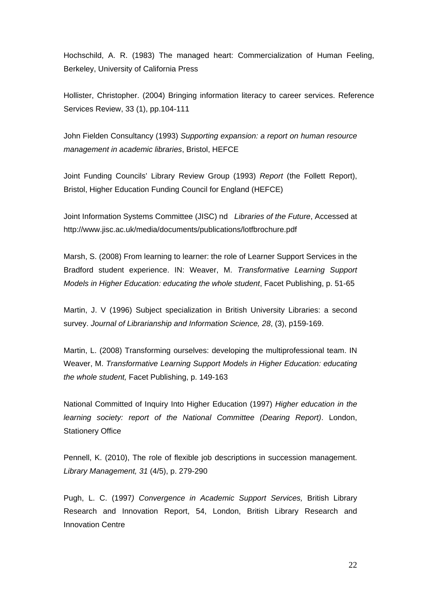Hochschild, A. R. (1983) The managed heart: Commercialization of Human Feeling, Berkeley, University of California Press

Hollister, Christopher. (2004) Bringing information literacy to career services. Reference Services Review, 33 (1), pp.104-111

John Fielden Consultancy (1993) *Supporting expansion: a report on human resource management in academic libraries*, Bristol, HEFCE

Joint Funding Councils' Library Review Group (1993) *Report* (the Follett Report), Bristol, Higher Education Funding Council for England (HEFCE)

Joint Information Systems Committee (JISC) nd *Libraries of the Future*, Accessed at http://www.jisc.ac.uk/media/documents/publications/lotfbrochure.pdf

Marsh, S. (2008) From learning to learner: the role of Learner Support Services in the Bradford student experience. IN: Weaver, M. *Transformative Learning Support Models in Higher Education: educating the whole student*, Facet Publishing, p. 51-65

Martin, J. V (1996) Subject specialization in British University Libraries: a second survey. *Journal of Librarianship and Information Science, 28*, (3), p159-169.

Martin, L. (2008) Transforming ourselves: developing the multiprofessional team. IN Weaver, M. *Transformative Learning Support Models in Higher Education: educating the whole student,* Facet Publishing, p. 149-163

National Committed of Inquiry Into Higher Education (1997) *Higher education in the learning society: report of the National Committee (Dearing Report)*. London, Stationery Office

Pennell, K. (2010), The role of flexible job descriptions in succession management. *Library Management, 31* (4/5), p. 279-290

Pugh, L. C. (1997*) Convergence in Academic Support Services,* British Library Research and Innovation Report, 54, London, British Library Research and Innovation Centre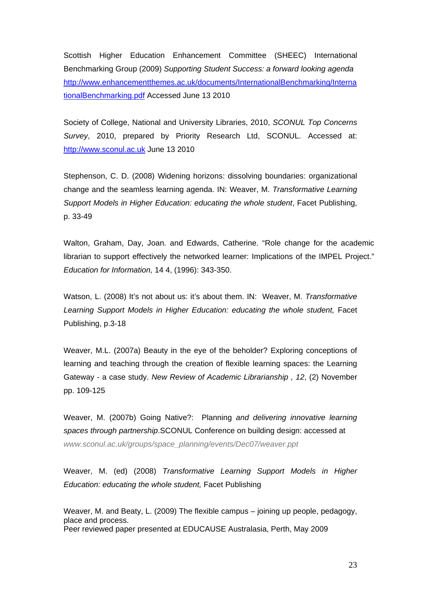Scottish Higher Education Enhancement Committee (SHEEC) International Benchmarking Group (2009) *Supporting Student Success: a forward looking agenda* http://www.enhancementthemes.ac.uk/documents/InternationalBenchmarking/Interna tionalBenchmarking.pdf Accessed June 13 2010

Society of College, National and University Libraries, 2010, *SCONUL Top Concerns Survey*, 2010, prepared by Priority Research Ltd, SCONUL. Accessed at: http://www.sconul.ac.uk June 13 2010

Stephenson, C. D. (2008) Widening horizons: dissolving boundaries: organizational change and the seamless learning agenda. IN: Weaver, M. *Transformative Learning Support Models in Higher Education: educating the whole student*, Facet Publishing, p. 33-49

Walton, Graham, Day, Joan. and Edwards, Catherine. "Role change for the academic librarian to support effectively the networked learner: Implications of the IMPEL Project." *Education for Information,* 14 4, (1996): 343-350.

Watson, L. (2008) It's not about us: it's about them. IN: Weaver, M. *Transformative Learning Support Models in Higher Education: educating the whole student,* Facet Publishing, p.3-18

Weaver, M.L. (2007a) Beauty in the eye of the beholder? Exploring conceptions of learning and teaching through the creation of flexible learning spaces: the Learning Gateway - a case study. *New Review of Academic Librarianship , 12*, (2) November pp. 109-125

Weaver, M. (2007b) Going Native?: Planning *and delivering innovative learning spaces through partnership*.SCONUL Conference on building design: accessed at *www.sconul.ac.uk/groups/space\_planning/events/Dec07/weaver.ppt*

Weaver, M. (ed) (2008) *Transformative Learning Support Models in Higher Education: educating the whole student,* Facet Publishing

Weaver, M. and Beaty, L. (2009) The flexible campus – joining up people, pedagogy, place and process. Peer reviewed paper presented at EDUCAUSE Australasia, Perth, May 2009